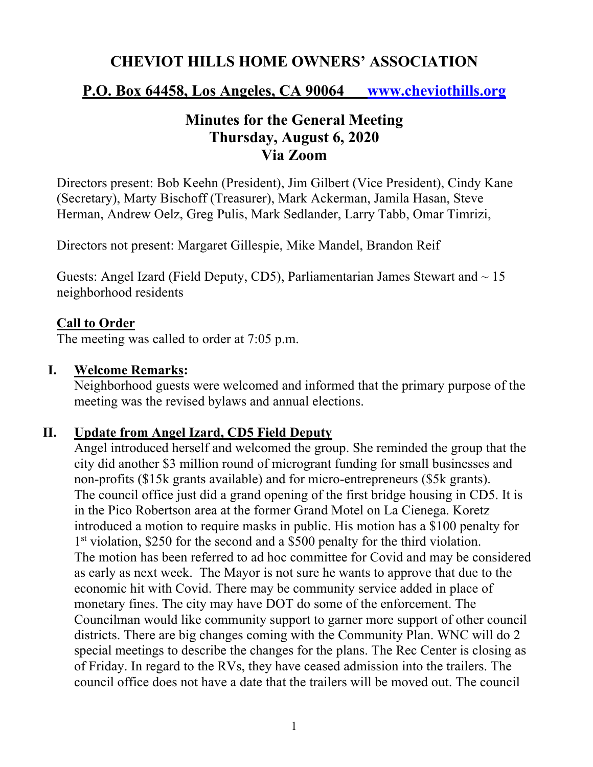# **CHEVIOT HILLS HOME OWNERS' ASSOCIATION**

## **P.O. Box 64458, Los Angeles, CA 90064 www.cheviothills.org**

# **Minutes for the General Meeting Thursday, August 6, 2020 Via Zoom**

Directors present: Bob Keehn (President), Jim Gilbert (Vice President), Cindy Kane (Secretary), Marty Bischoff (Treasurer), Mark Ackerman, Jamila Hasan, Steve Herman, Andrew Oelz, Greg Pulis, Mark Sedlander, Larry Tabb, Omar Timrizi,

Directors not present: Margaret Gillespie, Mike Mandel, Brandon Reif

Guests: Angel Izard (Field Deputy, CD5), Parliamentarian James Stewart and  $\sim 15$ neighborhood residents

#### **Call to Order**

The meeting was called to order at 7:05 p.m.

#### **I. Welcome Remarks:**

Neighborhood guests were welcomed and informed that the primary purpose of the meeting was the revised bylaws and annual elections.

#### **II. Update from Angel Izard, CD5 Field Deputy**

Angel introduced herself and welcomed the group. She reminded the group that the city did another \$3 million round of microgrant funding for small businesses and non-profits (\$15k grants available) and for micro-entrepreneurs (\$5k grants). The council office just did a grand opening of the first bridge housing in CD5. It is in the Pico Robertson area at the former Grand Motel on La Cienega. Koretz introduced a motion to require masks in public. His motion has a \$100 penalty for 1<sup>st</sup> violation, \$250 for the second and a \$500 penalty for the third violation. The motion has been referred to ad hoc committee for Covid and may be considered as early as next week. The Mayor is not sure he wants to approve that due to the economic hit with Covid. There may be community service added in place of monetary fines. The city may have DOT do some of the enforcement. The Councilman would like community support to garner more support of other council districts. There are big changes coming with the Community Plan. WNC will do 2 special meetings to describe the changes for the plans. The Rec Center is closing as of Friday. In regard to the RVs, they have ceased admission into the trailers. The council office does not have a date that the trailers will be moved out. The council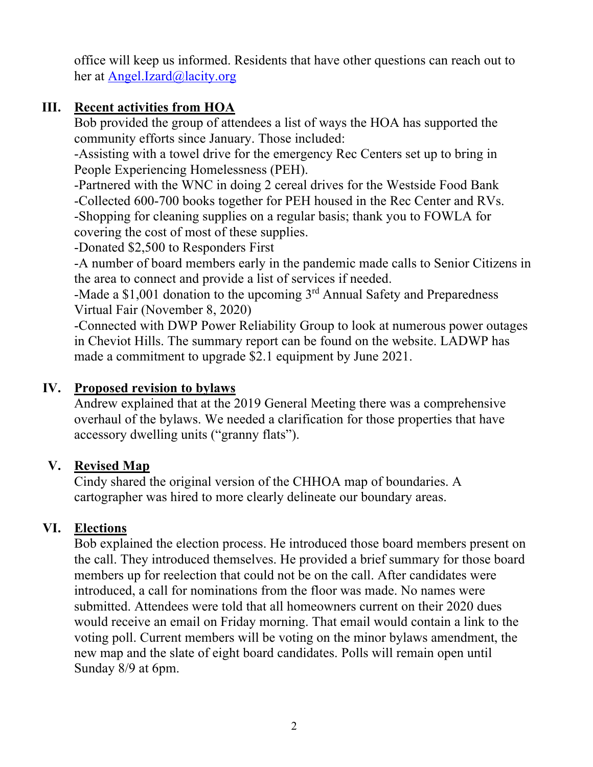office will keep us informed. Residents that have other questions can reach out to her at Angel.Izard@lacity.org

## **III. Recent activities from HOA**

Bob provided the group of attendees a list of ways the HOA has supported the community efforts since January. Those included:

-Assisting with a towel drive for the emergency Rec Centers set up to bring in People Experiencing Homelessness (PEH).

-Partnered with the WNC in doing 2 cereal drives for the Westside Food Bank -Collected 600-700 books together for PEH housed in the Rec Center and RVs. -Shopping for cleaning supplies on a regular basis; thank you to FOWLA for covering the cost of most of these supplies.

-Donated \$2,500 to Responders First

-A number of board members early in the pandemic made calls to Senior Citizens in the area to connect and provide a list of services if needed.

-Made a  $$1,001$  donation to the upcoming  $3<sup>rd</sup>$  Annual Safety and Preparedness Virtual Fair (November 8, 2020)

-Connected with DWP Power Reliability Group to look at numerous power outages in Cheviot Hills. The summary report can be found on the website. LADWP has made a commitment to upgrade \$2.1 equipment by June 2021.

#### **IV. Proposed revision to bylaws**

Andrew explained that at the 2019 General Meeting there was a comprehensive overhaul of the bylaws. We needed a clarification for those properties that have accessory dwelling units ("granny flats").

## **V. Revised Map**

Cindy shared the original version of the CHHOA map of boundaries. A cartographer was hired to more clearly delineate our boundary areas.

## **VI. Elections**

Bob explained the election process. He introduced those board members present on the call. They introduced themselves. He provided a brief summary for those board members up for reelection that could not be on the call. After candidates were introduced, a call for nominations from the floor was made. No names were submitted. Attendees were told that all homeowners current on their 2020 dues would receive an email on Friday morning. That email would contain a link to the voting poll. Current members will be voting on the minor bylaws amendment, the new map and the slate of eight board candidates. Polls will remain open until Sunday 8/9 at 6pm.